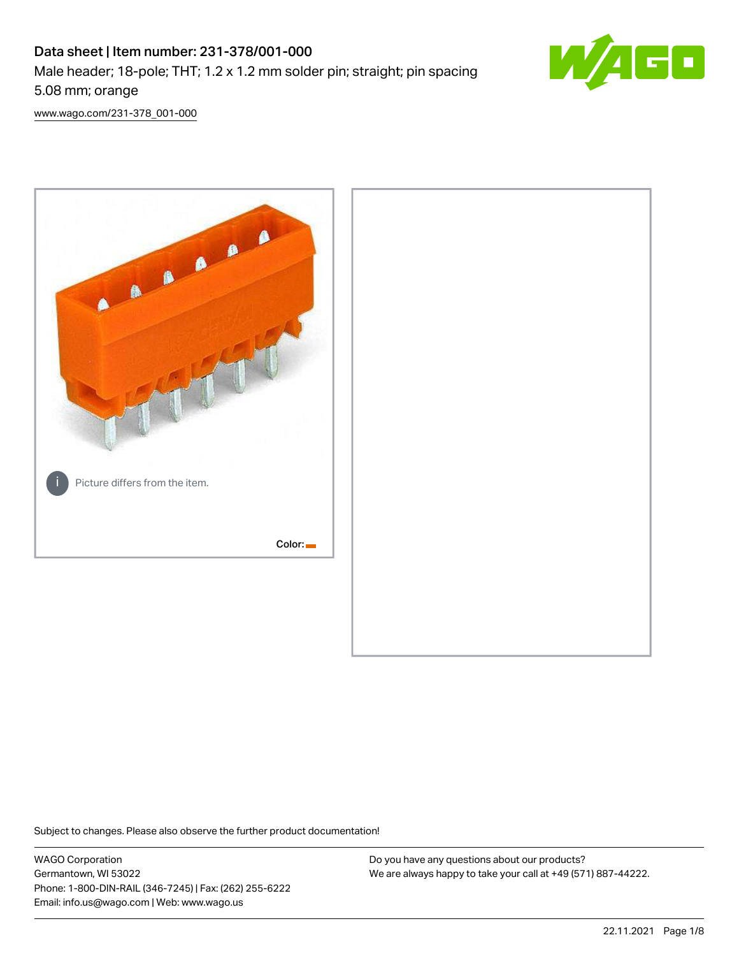# Data sheet | Item number: 231-378/001-000 Male header; 18-pole; THT; 1.2 x 1.2 mm solder pin; straight; pin spacing 5.08 mm; orange



[www.wago.com/231-378\\_001-000](http://www.wago.com/231-378_001-000)



Subject to changes. Please also observe the further product documentation!

WAGO Corporation Germantown, WI 53022 Phone: 1-800-DIN-RAIL (346-7245) | Fax: (262) 255-6222 Email: info.us@wago.com | Web: www.wago.us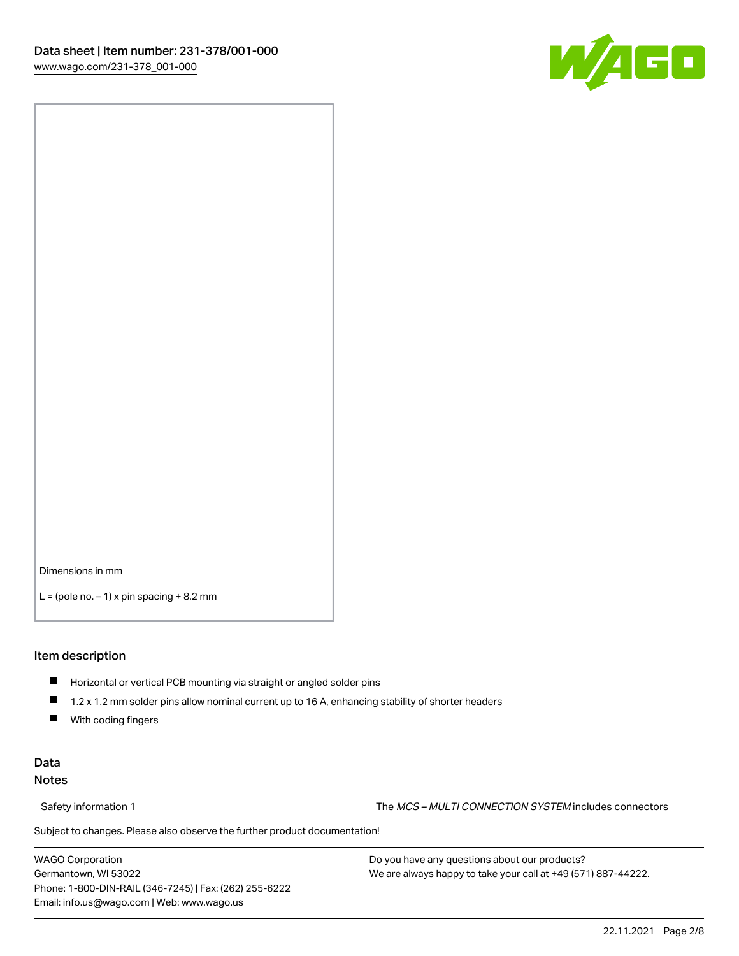

Dimensions in mm

 $L =$  (pole no.  $-1$ ) x pin spacing  $+8.2$  mm

#### Item description

- **Horizontal or vertical PCB mounting via straight or angled solder pins**
- 1.2 x 1.2 mm solder pins allow nominal current up to 16 A, enhancing stability of shorter headers
- $\blacksquare$ With coding fingers

#### Data Notes

Safety information 1 The MCS – MULTI CONNECTION SYSTEM includes connectors

Subject to changes. Please also observe the further product documentation!  $\nu$ 

WAGO Corporation Germantown, WI 53022 Phone: 1-800-DIN-RAIL (346-7245) | Fax: (262) 255-6222 Email: info.us@wago.com | Web: www.wago.us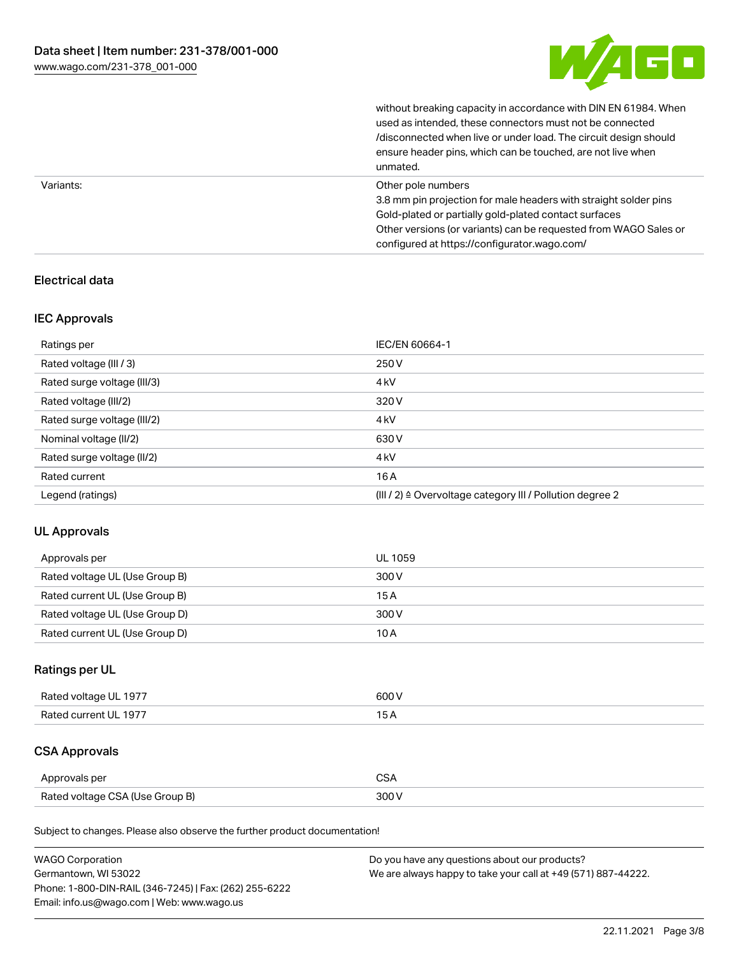

without breaking capacity in accordance with DIN EN 61984. When

|           | used as intended, these connectors must not be connected<br>/disconnected when live or under load. The circuit design should<br>ensure header pins, which can be touched, are not live when<br>unmated.                                                             |
|-----------|---------------------------------------------------------------------------------------------------------------------------------------------------------------------------------------------------------------------------------------------------------------------|
| Variants: | Other pole numbers<br>3.8 mm pin projection for male headers with straight solder pins<br>Gold-plated or partially gold-plated contact surfaces<br>Other versions (or variants) can be requested from WAGO Sales or<br>configured at https://configurator.wago.com/ |

### Electrical data

#### IEC Approvals

| Ratings per                 | IEC/EN 60664-1                                            |
|-----------------------------|-----------------------------------------------------------|
| Rated voltage (III / 3)     | 250 V                                                     |
| Rated surge voltage (III/3) | 4 <sub>k</sub> V                                          |
| Rated voltage (III/2)       | 320 V                                                     |
| Rated surge voltage (III/2) | 4 <sub>k</sub> V                                          |
| Nominal voltage (II/2)      | 630 V                                                     |
| Rated surge voltage (II/2)  | 4 <sub>k</sub> V                                          |
| Rated current               | 16A                                                       |
| Legend (ratings)            | (III / 2) ≙ Overvoltage category III / Pollution degree 2 |

#### UL Approvals

| Approvals per                  | UL 1059 |
|--------------------------------|---------|
| Rated voltage UL (Use Group B) | 300 V   |
| Rated current UL (Use Group B) | 15A     |
| Rated voltage UL (Use Group D) | 300 V   |
| Rated current UL (Use Group D) | 10A     |

## Ratings per UL

| Rated voltage UL 1977 | 600 V |
|-----------------------|-------|
| Rated current UL 1977 |       |

# CSA Approvals

| Approvals per                   | ~~    |
|---------------------------------|-------|
| Rated voltage CSA (Use Group B) | 3UU 1 |

Subject to changes. Please also observe the further product documentation!

| <b>WAGO Corporation</b>                                | Do you have any questions about our products?                 |
|--------------------------------------------------------|---------------------------------------------------------------|
| Germantown, WI 53022                                   | We are always happy to take your call at +49 (571) 887-44222. |
| Phone: 1-800-DIN-RAIL (346-7245)   Fax: (262) 255-6222 |                                                               |
| Email: info.us@wago.com   Web: www.wago.us             |                                                               |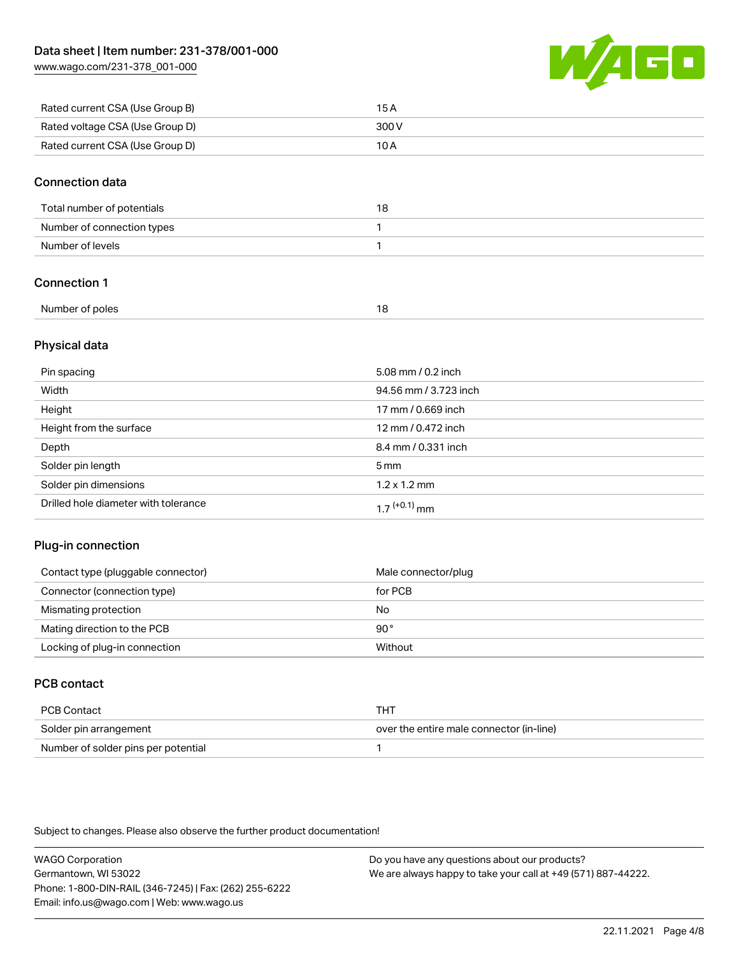[www.wago.com/231-378\\_001-000](http://www.wago.com/231-378_001-000)



| Rated current CSA (Use Group B) | 15 A  |
|---------------------------------|-------|
| Rated voltage CSA (Use Group D) | 300 V |
| Rated current CSA (Use Group D) | 10 A  |

#### Connection data

| Total number of potentials |  |
|----------------------------|--|
| Number of connection types |  |
| Number of levels           |  |

### Connection 1

| Number of poles |  |
|-----------------|--|
|                 |  |

#### Physical data

| Pin spacing                          | 5.08 mm / 0.2 inch    |
|--------------------------------------|-----------------------|
| Width                                | 94.56 mm / 3.723 inch |
| Height                               | 17 mm / 0.669 inch    |
| Height from the surface              | 12 mm / 0.472 inch    |
| Depth                                | 8.4 mm / 0.331 inch   |
| Solder pin length                    | $5 \,\mathrm{mm}$     |
| Solder pin dimensions                | $1.2 \times 1.2$ mm   |
| Drilled hole diameter with tolerance | $17^{(+0.1)}$ mm      |

#### Plug-in connection

| Contact type (pluggable connector) | Male connector/plug |
|------------------------------------|---------------------|
| Connector (connection type)        | for PCB             |
| Mismating protection               | No                  |
| Mating direction to the PCB        | 90°                 |
| Locking of plug-in connection      | Without             |

## PCB contact

| PCB Contact                         | тнт                                      |
|-------------------------------------|------------------------------------------|
| Solder pin arrangement              | over the entire male connector (in-line) |
| Number of solder pins per potential |                                          |

Subject to changes. Please also observe the further product documentation!

WAGO Corporation Germantown, WI 53022 Phone: 1-800-DIN-RAIL (346-7245) | Fax: (262) 255-6222 Email: info.us@wago.com | Web: www.wago.us Do you have any questions about our products? We are always happy to take your call at +49 (571) 887-44222.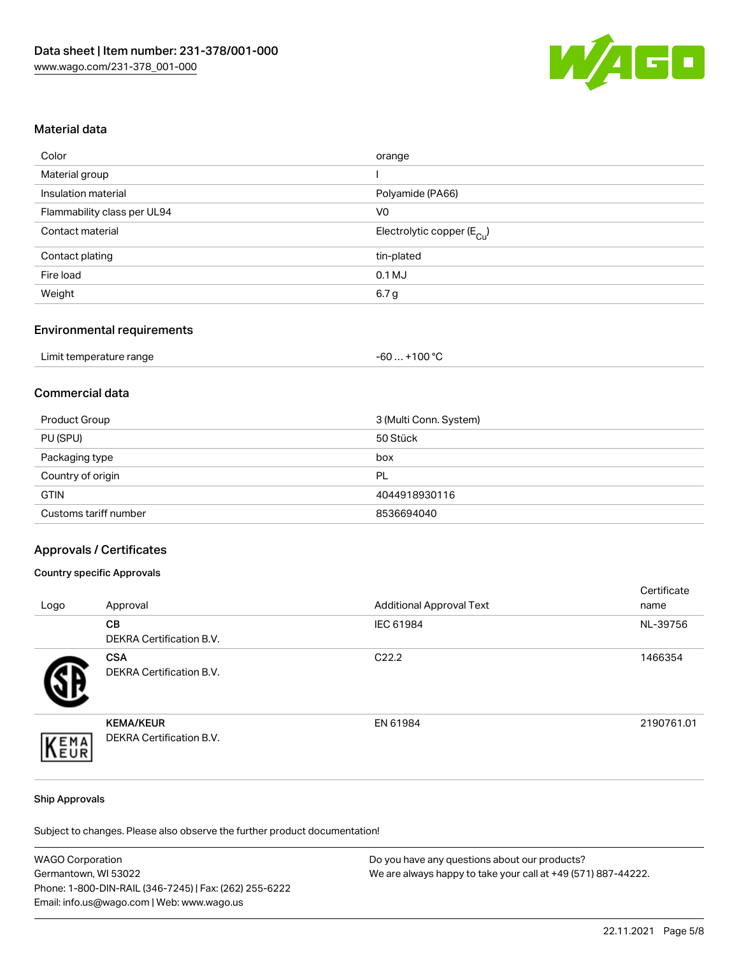

#### Material data

| Color                       | orange                                 |
|-----------------------------|----------------------------------------|
| Material group              |                                        |
| Insulation material         | Polyamide (PA66)                       |
| Flammability class per UL94 | V0                                     |
| Contact material            | Electrolytic copper (E <sub>Cu</sub> ) |
| Contact plating             | tin-plated                             |
| Fire load                   | $0.1$ MJ                               |
| Weight                      | 6.7 g                                  |
|                             |                                        |

#### Environmental requirements

| Limit temperature range | . +100 °C<br>-60 |
|-------------------------|------------------|
|-------------------------|------------------|

#### Commercial data

| Product Group         | 3 (Multi Conn. System) |
|-----------------------|------------------------|
| PU (SPU)              | 50 Stück               |
| Packaging type        | box                    |
| Country of origin     | PL                     |
| <b>GTIN</b>           | 4044918930116          |
| Customs tariff number | 8536694040             |

#### Approvals / Certificates

#### Country specific Approvals

| Logo | Approval                                            | <b>Additional Approval Text</b> | Certificate<br>name |
|------|-----------------------------------------------------|---------------------------------|---------------------|
|      | <b>CB</b><br><b>DEKRA Certification B.V.</b>        | IEC 61984                       | NL-39756            |
|      | <b>CSA</b><br><b>DEKRA Certification B.V.</b>       | C <sub>22.2</sub>               | 1466354             |
| EMA  | <b>KEMA/KEUR</b><br><b>DEKRA Certification B.V.</b> | EN 61984                        | 2190761.01          |

#### Ship Approvals

Subject to changes. Please also observe the further product documentation!

| <b>WAGO Corporation</b>                                | Do you have any questions about our products?                 |
|--------------------------------------------------------|---------------------------------------------------------------|
| Germantown, WI 53022                                   | We are always happy to take your call at +49 (571) 887-44222. |
| Phone: 1-800-DIN-RAIL (346-7245)   Fax: (262) 255-6222 |                                                               |
| Email: info.us@wago.com   Web: www.wago.us             |                                                               |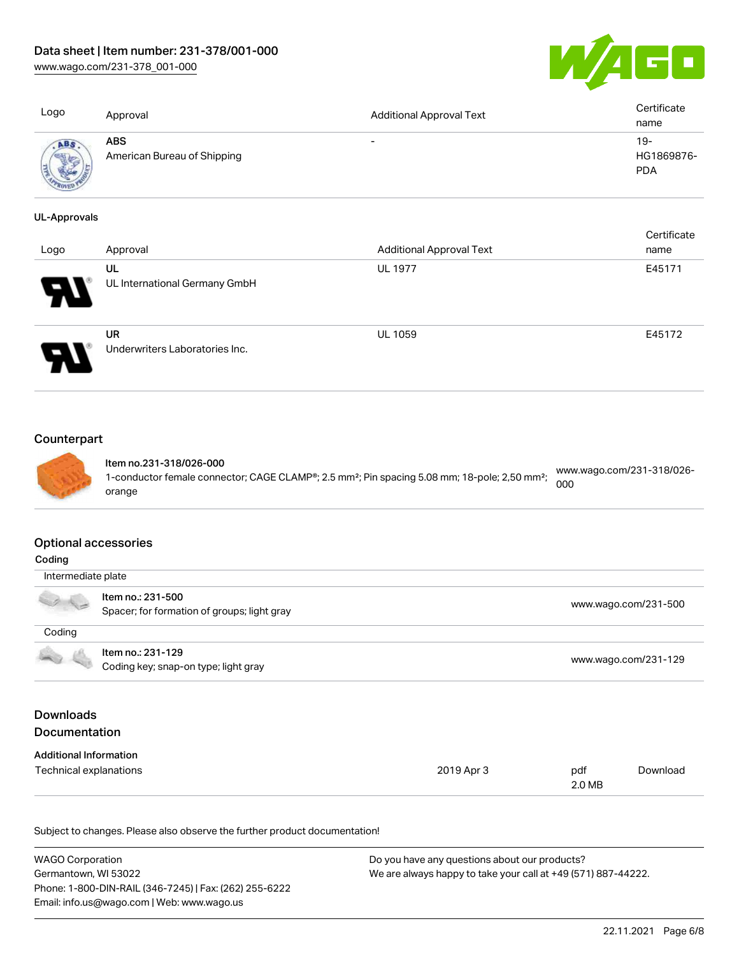[www.wago.com/231-378\\_001-000](http://www.wago.com/231-378_001-000)



| Logo                                         | Approval                                  | <b>Additional Approval Text</b>                                      | Certificate<br>name               |
|----------------------------------------------|-------------------------------------------|----------------------------------------------------------------------|-----------------------------------|
| ABS.                                         | <b>ABS</b><br>American Bureau of Shipping | $\overline{\phantom{0}}$                                             | $19-$<br>HG1869876-<br><b>PDA</b> |
| <b>UL-Approvals</b>                          |                                           |                                                                      | Certificate                       |
| the company of the company of the company of | $A = 1$                                   | $A = 1.124$ and $A = 1$ $A = 0.01$ and $A = 1$ $\overline{A} = 0.01$ | .                                 |

| Logo     | Approval                             | <b>Additional Approval Text</b> | name   |
|----------|--------------------------------------|---------------------------------|--------|
|          | UL                                   | <b>UL 1977</b>                  | E45171 |
| Ъ.<br>77 | UL International Germany GmbH        |                                 |        |
|          | UR<br>Underwriters Laboratories Inc. | <b>UL 1059</b>                  | E45172 |

# **Counterpart**



Item no.231-318/026-000 1-conductor female connector; CAGE CLAMP®; 2.5 mm²; Pin spacing 5.08 mm; 18-pole; 2,50 mm²; orange [www.wago.com/231-318/026-](https://www.wago.com/231-318/026-000) [000](https://www.wago.com/231-318/026-000)

#### Optional accessories

| Coding                                   |                                                                  |            |               |                      |
|------------------------------------------|------------------------------------------------------------------|------------|---------------|----------------------|
| Intermediate plate                       |                                                                  |            |               |                      |
|                                          | Item no.: 231-500<br>Spacer; for formation of groups; light gray |            |               | www.wago.com/231-500 |
| Coding                                   |                                                                  |            |               |                      |
|                                          | Item no.: 231-129<br>Coding key; snap-on type; light gray        |            |               | www.wago.com/231-129 |
| <b>Downloads</b><br><b>Documentation</b> |                                                                  |            |               |                      |
| <b>Additional Information</b>            |                                                                  |            |               |                      |
| Technical explanations                   |                                                                  | 2019 Apr 3 | pdf<br>2.0 MB | Download             |

Subject to changes. Please also observe the further product documentation!

| WAGO Corporation                                       | Do you have any questions about our products?                 |
|--------------------------------------------------------|---------------------------------------------------------------|
| Germantown, WI 53022                                   | We are always happy to take your call at +49 (571) 887-44222. |
| Phone: 1-800-DIN-RAIL (346-7245)   Fax: (262) 255-6222 |                                                               |
| Email: info.us@wago.com   Web: www.wago.us             |                                                               |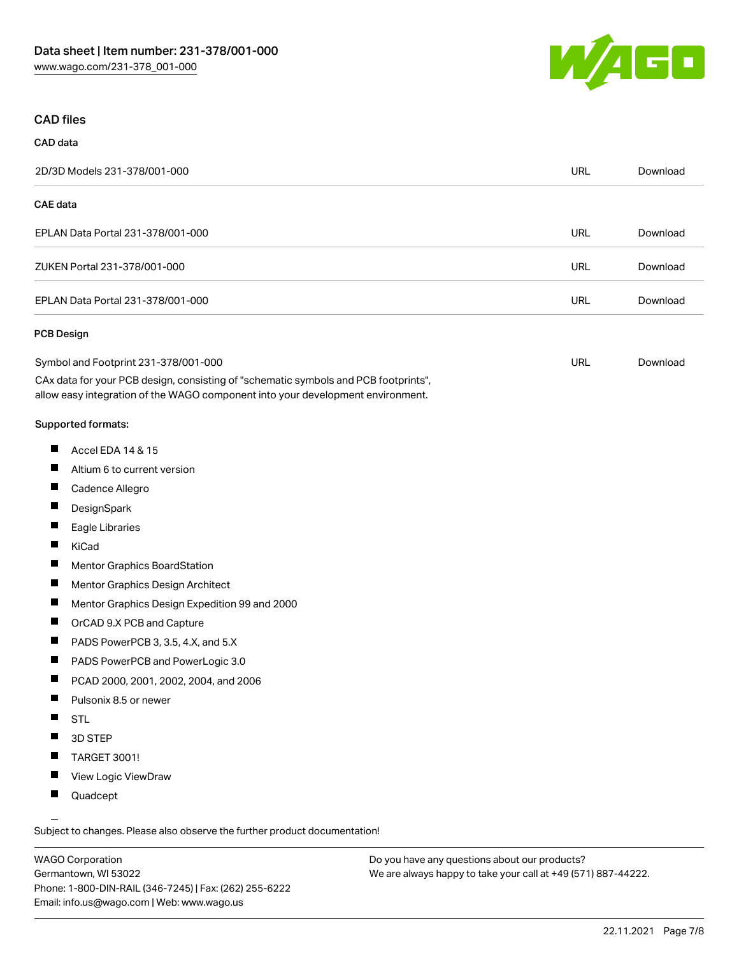

#### CAD files

# CAD data 2D/3D Models 231-378/001-000 URL [Download](https://www.wago.com/global/d/3D_URLS_231-378_001-000) CAE data EPLAN Data Portal 231-378/001-000 URL [Download](https://www.wago.com/global/d/EPLAN_URLS_231-378%252F001-000) ZUKEN Portal 231-378/001-000 URL [Download](https://www.wago.com/global/d/Zuken_URLS_231-378_001-000) EPLAN Data Portal 231-378/001-000 URL [Download](https://www.wago.com/global/d/EPLAN_URLS_231-378_001-000) PCB Design Symbol and Footprint 231-378/001-000 URL [Download](https://www.wago.com/global/d/UltraLibrarian_URLS_231-378_001-000)

CAx data for your PCB design, consisting of "schematic symbols and PCB footprints", allow easy integration of the WAGO component into your development environment.

#### Supported formats:

- $\blacksquare$ Accel EDA 14 & 15
- П Altium 6 to current version
- П Cadence Allegro
- П **DesignSpark**
- П Eagle Libraries
- $\blacksquare$ KiCad
- П Mentor Graphics BoardStation
- $\blacksquare$ Mentor Graphics Design Architect
- П Mentor Graphics Design Expedition 99 and 2000
- П OrCAD 9.X PCB and Capture
- $\blacksquare$ PADS PowerPCB 3, 3.5, 4.X, and 5.X
- $\blacksquare$ PADS PowerPCB and PowerLogic 3.0
- $\blacksquare$ PCAD 2000, 2001, 2002, 2004, and 2006
- $\blacksquare$ Pulsonix 8.5 or newer
- $\blacksquare$ STL
- $\blacksquare$ 3D STEP
- $\blacksquare$ TARGET 3001!
- $\blacksquare$ View Logic ViewDraw
- $\blacksquare$ Quadcept

.<br>Subject to changes. Please also observe the further product documentation!

WAGO Corporation Germantown, WI 53022 Phone: 1-800-DIN-RAIL (346-7245) | Fax: (262) 255-6222 Email: info.us@wago.com | Web: www.wago.us